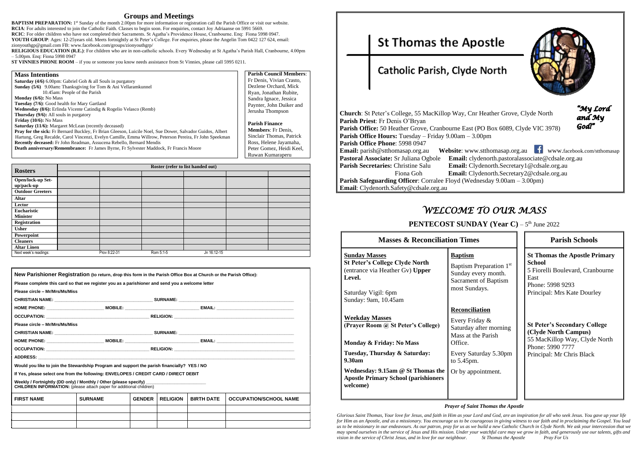### **Groups and Meetings**

**BAPTISM PREPARATION:** 1<sup>st</sup> Sunday of the month 2.00pm for more information or registration call the Parish Office or visit our website. **RCIA**: For adults interested to join the Catholic Faith. Classes to begin soon. For enquiries, contact Joy Adriaanse on 5991 5669. **RCIC**: For older children who have not completed their Sacraments. St Agatha's Providence House, Cranbourne. Enq: Fiona 5998 0947. **YOUTH GROUP**: Ages: 12-25years old. Meets fortnightly at St Peter's College. For enquiries, please the Angelin Tom 0422 127 624, email:

zionyouthgp@gmail.com FB: [www.facebook.com/groups/zionyouthgrp/](http://www.facebook.com/groups/zionyouthgrp/)

**RELIGIOUS EDUCATION (R.E.)**: For children who are in non-catholic schools. Every Wednesday at St Agatha's Parish Hall, Cranbourne, 4.00pm – 5.00pm. Enq: Fiona 5998 0947

**ST VINNIES PHONE ROOM** – if you or someone you know needs assistance from St Vinnies, please call 5995 0211.

| <b>Mass Intentions</b>                                                                                           | <b>Parish Council Members:</b> |
|------------------------------------------------------------------------------------------------------------------|--------------------------------|
| <b>Saturday</b> (4/6) 6.00pm: Gabriel Goh $\&$ all Souls in purgatory                                            | Fr Denis, Vivian Crasto,       |
| Sunday (5/6) 9.00am: Thanksgiving for Tom & Ani Vellaramkunnel                                                   | Dezlene Orchard, Mick          |
| 10.45am: People of the Parish                                                                                    | Ryan, Jonathan Rubite,         |
| <b>Monday</b> $(6/6)$ : No Mass                                                                                  | Sandra Ignace, Jessica         |
| <b>Tuesday</b> (7/6): Good health for Mary Gartland                                                              | Paynter, John Duiker and       |
| Wednesday (8/6): Erlinda Vicente Catindig & Rogelio Velasco (Remb)                                               | Jerusha Thompson               |
| <b>Thursday (9/6):</b> All souls in purgatory                                                                    |                                |
| <b>Friday</b> $(10/6)$ : No Mass                                                                                 | <b>Parish Finance</b>          |
| <b>Saturday (11/6):</b> Margaret McLean (recently deceased)                                                      |                                |
| <b>Pray for the sick:</b> Fr Bernard Buckley, Fr Brian Gleeson, Luicile Noel, Sue Dower, Salvador Guidos, Albert | <b>Members:</b> Fr Denis.      |
| Hartung, Greg Recalde, Carol Vincenzi, Evelyn Camille, Emma Willrow, Peterson Pereira, Fr John Speekman          | Sinclair Thomas, Patrick       |
| Recently deceased: Fr John Readman, Assucena Rebello, Bernard Mendis                                             | Ross, Helene Jayamaha,         |
| <b>Death anniversary/Remembrance:</b> Fr James Byrne, Fr Sylvester Maddock, Fr Francis Moore                     | Peter Gomez, Heidi Keel,       |
|                                                                                                                  | Ruwan Kumaraperu               |

|                                       | Roster (refer to list handed out) |              |           |             |  |  |
|---------------------------------------|-----------------------------------|--------------|-----------|-------------|--|--|
| <b>Rosters</b>                        |                                   |              |           |             |  |  |
| Open/lock-up Set-<br>up/pack-up       |                                   |              |           |             |  |  |
| <b>Outdoor Greeters</b>               |                                   |              |           |             |  |  |
| <b>Altar</b>                          |                                   |              |           |             |  |  |
| Lector                                |                                   |              |           |             |  |  |
| <b>Eucharistic</b><br><b>Minister</b> |                                   |              |           |             |  |  |
| Registration                          |                                   |              |           |             |  |  |
| <b>Usher</b>                          |                                   |              |           |             |  |  |
| Powerpoint                            |                                   |              |           |             |  |  |
| <b>Cleaners</b>                       |                                   |              |           |             |  |  |
| <b>Altar Linen</b>                    |                                   |              |           |             |  |  |
| Next week's readings:                 |                                   | Prov 8:22-31 | Rom 5:1-5 | Jn 16:12-15 |  |  |

| New Parishioner Registration (to return, drop this form in the Parish Office Box at Church or the Parish Office):                               |                |               |                 |                   |                               |
|-------------------------------------------------------------------------------------------------------------------------------------------------|----------------|---------------|-----------------|-------------------|-------------------------------|
| Please complete this card so that we register you as a parishioner and send you a welcome letter                                                |                |               |                 |                   |                               |
| Please circle - Mr/Mrs/Ms/Miss                                                                                                                  |                |               |                 |                   |                               |
|                                                                                                                                                 |                |               |                 |                   |                               |
|                                                                                                                                                 |                |               |                 |                   |                               |
|                                                                                                                                                 |                |               |                 |                   |                               |
| Please circle - Mr/Mrs/Ms/Miss                                                                                                                  |                |               |                 |                   |                               |
|                                                                                                                                                 |                |               |                 |                   |                               |
|                                                                                                                                                 |                |               |                 |                   |                               |
|                                                                                                                                                 |                |               |                 |                   |                               |
|                                                                                                                                                 |                |               |                 |                   |                               |
| Would you like to join the Stewardship Program and support the parish financially? YES / NO                                                     |                |               |                 |                   |                               |
| If Yes, please select one from the following: ENVELOPES / CREDIT CARD / DIRECT DEBIT                                                            |                |               |                 |                   |                               |
| Weekly / Fortnightly (DD only) / Monthly / Other (please specify)<br><b>CHILDREN INFORMATION:</b> (please attach paper for additional children) |                |               |                 |                   |                               |
| <b>FIRST NAME</b>                                                                                                                               | <b>SURNAME</b> | <b>GENDER</b> | <b>RELIGION</b> | <b>BIRTH DATE</b> | <b>OCCUPATION/SCHOOL NAME</b> |
|                                                                                                                                                 |                |               |                 |                   |                               |
|                                                                                                                                                 |                |               |                 |                   |                               |

**St Thomas the Apostle** 

# Catholic Parish, Clyde North

| <b>Church:</b> St Peter's College, 55 MacKillop Way, Cnr Heat      |
|--------------------------------------------------------------------|
|                                                                    |
| Parish Priest: Fr Denis O'Bryan                                    |
| Parish Office: 50 Heather Grove, Cranbourne East (PO B             |
| <b>Parish Office Hours:</b> Tuesday – Friday 9.00am – 3.00pm       |
| Parish Office Phone: 5998 0947                                     |
| Website: www.stthe<br><b>Email:</b> parish@stthomasap.org.au       |
| Pastoral Associate: Sr Juliana Ogbole<br><b>Email:</b> clydenor    |
| <b>Parish Secretaries: Christine Salu</b><br><b>Email:</b> Clydeno |
| <b>Email:</b> Clydeno<br>Fiona Goh                                 |
| <b>Parish Safeguarding Officer:</b> Corralee Floyd (Wednesda       |
| <b>Email:</b> Clydenorth.Safety@cdsale.org.au                      |

# *WELCOME TO OUR MASS*

### **PENTECOST SUNDAY (Year C)** – 5<sup>th</sup> June 2022

| <b>Masses &amp; Reconciliation Times</b>                                                                                                 |                                                                                                                              |  |
|------------------------------------------------------------------------------------------------------------------------------------------|------------------------------------------------------------------------------------------------------------------------------|--|
| <u>Sunday Masses</u><br><b>St Peter's College Clyde North</b><br>(entrance via Heather Gv) Upper<br><b>Level.</b><br>Saturday Vigil: 6pm | <b>Baptism</b><br>Baptism Preparation 1 <sup>st</sup><br>Sunday every month.<br><b>Sacrament of Baptism</b><br>most Sundays. |  |
| Sunday: 9am, 10.45am                                                                                                                     |                                                                                                                              |  |
| <b>Weekday Masses</b><br>(Prayer Room @ St Peter's College)<br>Monday & Friday: No Mass                                                  | <b>Reconciliation</b><br>Every Friday &<br>Saturday after morning<br>Mass at the Parish<br>Office.                           |  |
| Tuesday, Thursday & Saturday:<br>9.30am                                                                                                  | Every Saturday 5.30pm<br>to 5.45pm.                                                                                          |  |
| Wednesday: 9.15am @ St Thomas the<br><b>Apostle Primary School (parishioners</b><br>welcome)                                             | Or by appointment.                                                                                                           |  |

| <b>Masses &amp; Reconciliation Times</b>                                                                                       |                                                                                                                                                             | <b>Parish Schools</b>                                                                                                                                |  |  |
|--------------------------------------------------------------------------------------------------------------------------------|-------------------------------------------------------------------------------------------------------------------------------------------------------------|------------------------------------------------------------------------------------------------------------------------------------------------------|--|--|
| <u>ses</u><br>ollege Clyde North<br>Heather Gv) Upper<br>il: 6pm<br>, 10.45am                                                  | <b>Baptism</b><br>Baptism Preparation 1st<br>Sunday every month.<br>Sacrament of Baptism<br>most Sundays.                                                   | <b>St Thomas the Apostle Primary</b><br><b>School</b><br>5 Fiorelli Boulevard, Cranbourne<br>East<br>Phone: 5998 9293<br>Principal: Mrs Kate Dourley |  |  |
| asses<br>n @ St Peter's College)<br>riday: No Mass<br>ursday & Saturday:<br>9.15am @ St Thomas the<br>ary School (parishioners | Reconciliation<br>Every Friday &<br>Saturday after morning<br>Mass at the Parish<br>Office.<br>Every Saturday 5.30pm<br>to $5.45$ pm.<br>Or by appointment. | <b>St Peter's Secondary College</b><br>(Clyde North Campus)<br>55 MacKillop Way, Clyde North<br>Phone: 5990 7777<br>Principal: Mr Chris Black        |  |  |
|                                                                                                                                |                                                                                                                                                             |                                                                                                                                                      |  |  |

#### *Prayer of Saint Thomas the Apostle*

*Glorious Saint Thomas, Your love for Jesus, and faith in Him as your Lord and God, are an inspiration for all who seek Jesus. You gave up your life for Him as an Apostle, and as a missionary. You encourage us to be courageous in giving witness to our faith and in proclaiming the Gospel. You lead us to be missionary in our endeavours. As our patron, pray for us as we build a new Catholic Church in Clyde North. We ask your intercession that we may spend ourselves in the service of Jesus and His mission. Under your watchful care may we grow in faith, and generously use our talents, gifts and vision in the service of Christ Jesus, and in love for our neighbour. St Thomas the Apostle Pray For Us*



**Church**: Grove, Clyde North

"My Lord and My God<sup>"</sup>

Box 6089, Clyde VIC 3978)

**EXAMILIST EMAIL:** www.facebook.com/stthomasap.org.au **Pastoral Associate**@cdsale.org.au **Parish Secretary 1@cdsale.org.au**  Fiona Goh **Email:** Clydenorth.Secretary2@cdsale.org.au  $\text{day } 9.00 \text{am} - 3.00 \text{pm}$ )